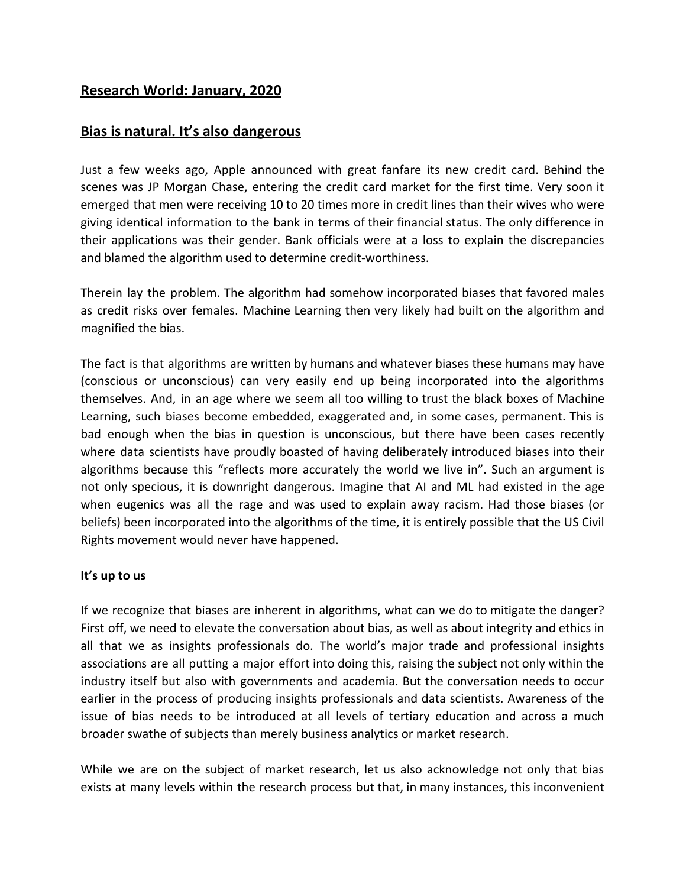## **Research World: January, 2020**

## **Bias is natural. It's also dangerous**

Just a few weeks ago, Apple announced with great fanfare its new credit card. Behind the scenes was JP Morgan Chase, entering the credit card market for the first time. Very soon it emerged that men were receiving 10 to 20 times more in credit lines than their wives who were giving identical information to the bank in terms of their financial status. The only difference in their applications was their gender. Bank officials were at a loss to explain the discrepancies and blamed the algorithm used to determine credit-worthiness.

Therein lay the problem. The algorithm had somehow incorporated biases that favored males as credit risks over females. Machine Learning then very likely had built on the algorithm and magnified the bias.

The fact is that algorithms are written by humans and whatever biases these humans may have (conscious or unconscious) can very easily end up being incorporated into the algorithms themselves. And, in an age where we seem all too willing to trust the black boxes of Machine Learning, such biases become embedded, exaggerated and, in some cases, permanent. This is bad enough when the bias in question is unconscious, but there have been cases recently where data scientists have proudly boasted of having deliberately introduced biases into their algorithms because this "reflects more accurately the world we live in". Such an argument is not only specious, it is downright dangerous. Imagine that AI and ML had existed in the age when eugenics was all the rage and was used to explain away racism. Had those biases (or beliefs) been incorporated into the algorithms of the time, it is entirely possible that the US Civil Rights movement would never have happened.

## **It's up to us**

If we recognize that biases are inherent in algorithms, what can we do to mitigate the danger? First off, we need to elevate the conversation about bias, as well as about integrity and ethics in all that we as insights professionals do. The world's major trade and professional insights associations are all putting a major effort into doing this, raising the subject not only within the industry itself but also with governments and academia. But the conversation needs to occur earlier in the process of producing insights professionals and data scientists. Awareness of the issue of bias needs to be introduced at all levels of tertiary education and across a much broader swathe of subjects than merely business analytics or market research.

While we are on the subject of market research, let us also acknowledge not only that bias exists at many levels within the research process but that, in many instances, this inconvenient